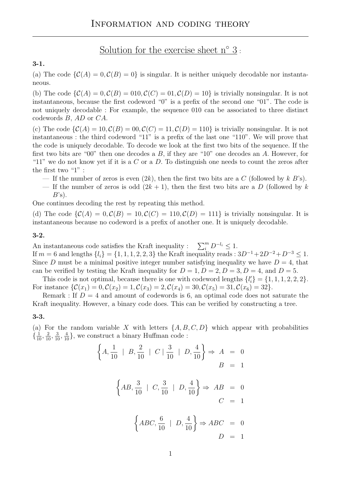Solution for the exercise sheet  $n^{\circ}$  3:

## 3-1.

(a) The code  $\{\mathcal{C}(A) = 0, \mathcal{C}(B) = 0\}$  is singular. It is neither uniquely decodable nor instantaneous.

(b) The code  $\{\mathcal{C}(A) = 0, \mathcal{C}(B) = 010, \mathcal{C}(C) = 01, \mathcal{C}(D) = 10\}$  is trivially nonsingular. It is not instantaneous, because the first codeword "0" is a prefix of the second one "01". The code is not uniquely decodable : For example, the sequence 010 can be associated to three distinct codewords B, AD or CA.

(c) The code  $\{\mathcal{C}(A) = 10, \mathcal{C}(B) = 00, \mathcal{C}(C) = 11, \mathcal{C}(D) = 110\}$  is trivially nonsingular. It is not instantaneous : the third codeword "11" is a prefix of the last one "110". We will prove that the code is uniquely decodable. To decode we look at the first two bits of the sequence. If the first two bits are "00" then one decodes a  $B$ , if they are "10" one decodes an  $A$ . However, for "11" we do not know yet if it is a C or a D. To distinguish one needs to count the zeros after the first two "1" :

- If the number of zeros is even  $(2k)$ , then the first two bits are a C (followed by k B's).
- If the number of zeros is odd  $(2k + 1)$ , then the first two bits are a D (followed by k  $B$ 's).

One continues decoding the rest by repeating this method.

(d) The code  $\{\mathcal{C}(A) = 0, \mathcal{C}(B) = 10, \mathcal{C}(C) = 110, \mathcal{C}(D) = 111\}$  is trivially nonsingular. It is instantaneous because no codeword is a prefix of another one. It is uniquely decodable.

## 3-2.

An instantaneous code satisfies the Kraft inequality :  $\sum_{i=0}^{m} D^{-l_i} \leq 1$ . If  $m = 6$  and lengths  $\{l_i\} = \{1, 1, 1, 2, 2, 3\}$  the Kraft inequality reads :  $3D^{-1} + 2D^{-2} + D^{-3} \le 1$ . Since D must be a minimal positive integer number satisfying inequality we have  $D = 4$ , that can be verified by testing the Kraft inequality for  $D = 1, D = 2, D = 3, D = 4$ , and  $D = 5$ .

This code is not optimal, because there is one with codeword lengths  $\{l'_i\} = \{1, 1, 1, 2, 2, 2\}.$ For instance  $\{\mathcal{C}(x_1) = 0, \mathcal{C}(x_2) = 1, \mathcal{C}(x_3) = 2, \mathcal{C}(x_4) = 30, \mathcal{C}(x_5) = 31, \mathcal{C}(x_6) = 32\}.$ 

Remark : If  $D = 4$  and amount of codewords is 6, an optimal code does not saturate the Kraft inequality. However, a binary code does. This can be verified by constructing a tree.

## 3-3.

(a) For the random variable X with letters  $\{A, B, C, D\}$  which appear with probabilities  $\{\frac{1}{10}, \frac{2}{10}, \frac{3}{10}, \frac{4}{10}\}\,$ , we construct a binary Huffman code :

$$
\left\{ A, \frac{1}{10} \mid B, \frac{2}{10} \mid C \mid \frac{3}{10} \mid D, \frac{4}{10} \right\} \Rightarrow A = 0
$$
  

$$
B = 1
$$
  

$$
\left\{ AB, \frac{3}{10} \mid C, \frac{3}{10} \mid D, \frac{4}{10} \right\} \Rightarrow AB = 0
$$
  

$$
C = 1
$$
  

$$
\left\{ ABC, \frac{6}{10} \mid D, \frac{4}{10} \right\} \Rightarrow ABC = 0
$$
  

$$
D = 1
$$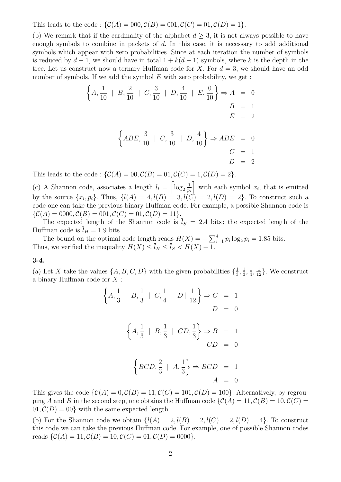This leads to the code :  $\{C(A) = 000, C(B) = 001, C(C) = 01, C(D) = 1\}.$ 

(b) We remark that if the cardinality of the alphabet  $d \geq 3$ , it is not always possible to have enough symbols to combine in packets of d. In this case, it is necessary to add additional symbols which appear with zero probabilities. Since at each iteration the number of symbols is reduced by  $d-1$ , we should have in total  $1 + k(d-1)$  symbols, where k is the depth in the tree. Let us construct now a ternary Huffman code for X. For  $d = 3$ , we should have an odd number of symbols. If we add the symbol  $E$  with zero probability, we get :

$$
\left\{ A, \frac{1}{10} \mid B, \frac{2}{10} \mid C, \frac{3}{10} \mid D, \frac{4}{10} \mid E, \frac{0}{10} \right\} \Rightarrow A = 0
$$
  

$$
B = 1
$$
  

$$
E = 2
$$

$$
\left\{ABE, \frac{3}{10} \mid C, \frac{3}{10} \mid D, \frac{4}{10}\right\} \Rightarrow ABE = 0
$$
  

$$
C = 1
$$
  

$$
D = 2
$$

This leads to the code :  $\{\mathcal{C}(A) = 00, \mathcal{C}(B) = 01, \mathcal{C}(C) = 1, \mathcal{C}(D) = 2\}.$ 

(c) A Shannon code, associates a length  $l_i = \lceil \log_2 \frac{1}{n} \rceil$ pi with each symbol  $x_i$ , that is emitted by the source  $\{x_i, p_i\}$ . Thus,  $\{l(A) = 4, l(B) = 3, l(C) = 2, l(D) = 2\}$ . To construct such a code one can take the previous binary Huffman code. For example, a possible Shannon code is  $\{\mathcal{C}(A) = 0000, \mathcal{C}(B) = 001, \mathcal{C}(C) = 01, \mathcal{C}(D) = 11\}.$ 

The expected length of the Shannon code is  $\overline{l}_S = 2.4$  bits; the expected length of the Huffman code is  $\overline{l}_H = 1.9$  bits.

The bound on the optimal code length reads  $H(X) = -\sum_{i=1}^{4} p_i \log_2 p_i = 1.85$  bits. Thus, we verified the inequality  $H(X) \leq l_H \leq l_S < H(X) + 1$ .

3-4.

(a) Let X take the values  $\{A, B, C, D\}$  with the given probabilities  $\{\frac{1}{3}, \frac{1}{2}, \frac{1}{2}, \frac{1}{2}, \frac{1}{2}, \frac{1}{2}, \frac{1}{2}, \frac{1}{2}, \frac{1}{2}, \frac{1}{2}, \frac{1}{2}, \frac{1}{2}, \frac{1}{2}, \frac{1}{2}, \frac{1}{2}, \frac{1}{2}, \frac{1}{2}, \frac{1}{2}, \frac{1}{2}, \frac{1}{2}, \frac{1}{2}, \frac{$  $\frac{1}{3}, \frac{1}{3}$  $\frac{1}{3}, \frac{1}{4}$  $\frac{1}{4}, \frac{1}{12}$ . We construct a binary Huffman code for X :

$$
\left\{ A, \frac{1}{3} \mid B, \frac{1}{3} \mid C, \frac{1}{4} \mid D \mid \frac{1}{12} \right\} \Rightarrow C = 1
$$
  

$$
D = 0
$$
  

$$
\left\{ A, \frac{1}{3} \mid B, \frac{1}{3} \mid CD, \frac{1}{3} \right\} \Rightarrow B = 1
$$
  

$$
CD = 0
$$
  

$$
\left\{ BCD, \frac{2}{3} \mid A, \frac{1}{3} \right\} \Rightarrow BCD = 1
$$
  

$$
A = 0
$$

This gives the code  $\{\mathcal{C}(A) = 0, \mathcal{C}(B) = 11, \mathcal{C}(C) = 101, \mathcal{C}(D) = 100\}$ . Alternatively, by regrouping A and B in the second step, one obtains the Huffman code  $\{\mathcal{C}(A) = 11, \mathcal{C}(B) = 10, \mathcal{C}(C) =$  $01, \mathcal{C}(D) = 00$  with the same expected length.

(b) For the Shannon code we obtain  $\{l(A) = 2, l(B) = 2, l(C) = 2, l(D) = 4\}$ . To construct this code we can take the previous Huffman code. For example, one of possible Shannon codes reads  $\{\mathcal{C}(A) = 11, \mathcal{C}(B) = 10, \mathcal{C}(C) = 01, \mathcal{C}(D) = 0000\}.$